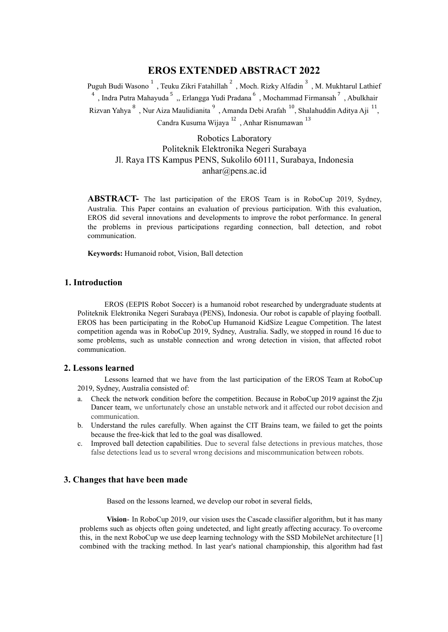# **EROS EXTENDED ABSTRACT 2022**

Puguh Budi Wasono  $^1$ , Teuku Zikri Fatahillah  $^2$ , Moch. Rizky Alfadin  $^3$ , M. Mukhtarul Lathief <sup>4</sup>, Indra Putra Mahayuda<sup>5</sup>, Erlangga Yudi Pradana<sup>6</sup>, Mochammad Firmansah<sup>7</sup>, Abulkhair Rizvan Yahya  $^8$ , Nur Aiza Maulidianita  $^9$ , Amanda Debi Arafah  $^{10}$ , Shalahuddin Aditya Aji  $^{11}$ , Candra Kusuma Wijaya  $^{12}$ , Anhar Risnumawan  $^{13}$ 

Robotics Laboratory Politeknik Elektronika Negeri Surabaya Jl. Raya ITS Kampus PENS, Sukolilo 60111, Surabaya, Indonesia anhar@pens.ac.id

**ABSTRACT-** The last participation of the EROS Team is in RoboCup 2019, Sydney, Australia. This Paper contains an evaluation of previous participation. With this evaluation, EROS did several innovations and developments to improve the robot performance. In general the problems in previous participations regarding connection, ball detection, and robot communication.

**Keywords:** Humanoid robot, Vision, Ball detection

## **1. Introduction**

EROS (EEPIS Robot Soccer) is a humanoid robot researched by undergraduate students at Politeknik Elektronika Negeri Surabaya (PENS), Indonesia. Our robot is capable of playing football. EROS has been participating in the RoboCup Humanoid KidSize League Competition. The latest competition agenda was in RoboCup 2019, Sydney, Australia. Sadly, we stopped in round 16 due to some problems, such as unstable connection and wrong detection in vision, that affected robot communication.

#### **2. Lessons learned**

Lessons learned that we have from the last participation of the EROS Team at RoboCup 2019, Sydney, Australia consisted of:

- a. Check the network condition before the competition. Because in RoboCup 2019 against the Zju Dancer team, we unfortunately chose an unstable network and it affected our robot decision and communication.
- b. Understand the rules carefully. When against the CIT Brains team, we failed to get the points because the free-kick that led to the goal was disallowed.
- c. Improved ball detection capabilities. Due to several false detections in previous matches, those false detections lead us to several wrong decisions and miscommunication between robots.

## **3. Changes that have been made**

Based on the lessons learned, we develop our robot in several fields,

**Vision**- In RoboCup 2019, our vision uses the Cascade classifier algorithm, but it has many problems such as objects often going undetected, and light greatly affecting accuracy. To overcome this, in the next RoboCup we use deep learning technology with the SSD MobileNet architecture [1] combined with the tracking method. In last year's national championship, this algorithm had fast